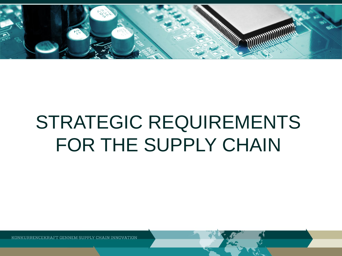

# STRATEGIC REQUIREMENTS FOR THE SUPPLY CHAIN

SUPPLY CHAIN INNOVATION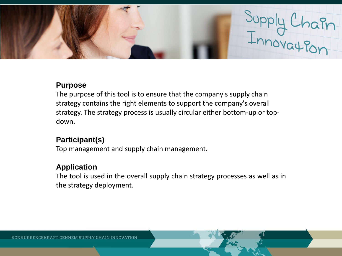

### **Purpose**

The purpose of this tool is to ensure that the company's supply chain strategy contains the right elements to support the company's overall strategy. The strategy process is usually circular either bottom-up or topdown.

# **Participant(s)**

Top management and supply chain management.

## **Application**

The tool is used in the overall supply chain strategy processes as well as in the strategy deployment.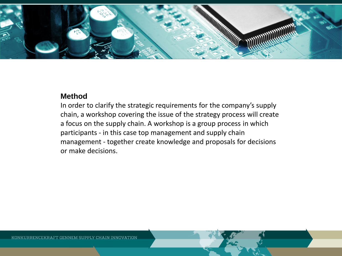

#### **Method**

In order to clarify the strategic requirements for the company's supply chain, a workshop covering the issue of the strategy process will create a focus on the supply chain. A workshop is a group process in which participants - in this case top management and supply chain management - together create knowledge and proposals for decisions or make decisions.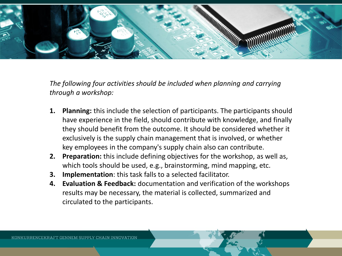

*The following four activities should be included when planning and carrying through a workshop:*

- **1. Planning:** this include the selection of participants. The participants should have experience in the field, should contribute with knowledge, and finally they should benefit from the outcome. It should be considered whether it exclusively is the supply chain management that is involved, or whether key employees in the company's supply chain also can contribute.
- **2. Preparation:** this include defining objectives for the workshop, as well as, which tools should be used, e.g., brainstorming, mind mapping, etc.
- **3. Implementation**: this task falls to a selected facilitator.
- **4. Evaluation & Feedback:** documentation and verification of the workshops results may be necessary, the material is collected, summarized and circulated to the participants.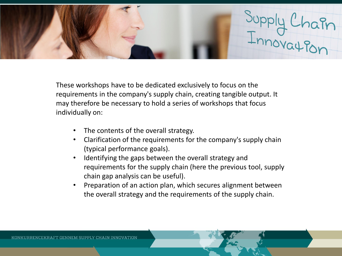

These workshops have to be dedicated exclusively to focus on the requirements in the company's supply chain, creating tangible output. It may therefore be necessary to hold a series of workshops that focus individually on:

- The contents of the overall strategy.
- Clarification of the requirements for the company's supply chain (typical performance goals).
- Identifying the gaps between the overall strategy and requirements for the supply chain (here the previous tool, supply chain gap analysis can be useful).
- Preparation of an action plan, which secures alignment between the overall strategy and the requirements of the supply chain.